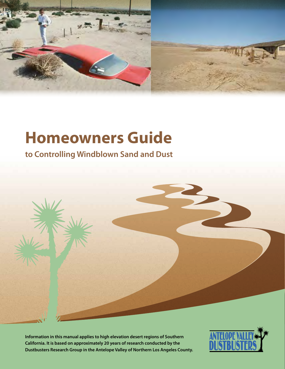

# **Homeowners Guide**

**to Controlling Windblown Sand and Dust**



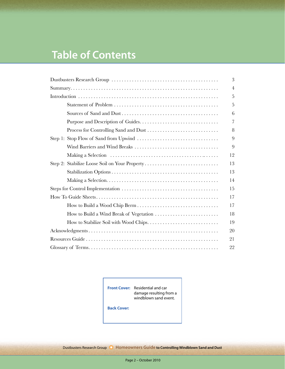# **Table of Contents**

|                                         | 3              |
|-----------------------------------------|----------------|
|                                         | $\overline{4}$ |
|                                         | 5              |
|                                         | 5              |
|                                         | 6              |
|                                         | 7              |
|                                         | 8              |
|                                         | 9              |
|                                         | 9              |
|                                         | 12             |
|                                         | 13             |
|                                         | 13             |
|                                         | 14             |
|                                         | 15             |
|                                         | 17             |
|                                         | 17             |
| How to Build a Wind Break of Vegetation | 18             |
|                                         | 19             |
|                                         | 20             |
|                                         | 21             |
|                                         | 22             |

**Front Cover:** Residential and car damage resulting from a windblown sand event.

**Back Cover:**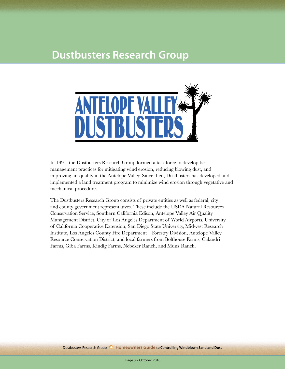# **Dustbusters Research Group**



In 1991, the Dustbusters Research Group formed a task force to develop best management practices for mitigating wind erosion, reducing blowing dust, and improving air quality in the Antelope Valley. Since then, Dustbusters has developed and implemented a land treatment program to minimize wind erosion through vegetative and mechanical procedures.

The Dustbusters Research Group consists of private entities as well as federal, city and county government representatives. These include the USDA Natural Resources Conservation Service, Southern California Edison, Antelope Valley Air Quality Management District, City of Los Angeles Department of World Airports, University of California Cooperative Extension, San Diego State University, Midwest Research Institute, Los Angeles County Fire Department – Forestry Division, Antelope Valley Resource Conservation District, and local farmers from Bolthouse Farms, Calandri Farms, Giba Farms, Kindig Farms, Nebeker Ranch, and Munz Ranch.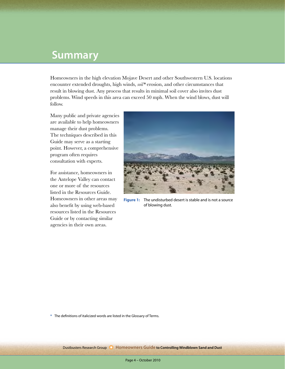# **Summary**

Homeowners in the high elevation Mojave Desert and other Southwestern U.S. locations encounter extended droughts, high winds, *soil\** erosion, and other circumstances that result in blowing dust. Any process that results in minimal soil cover also invites dust problems. Wind speeds in this area can exceed 50 mph. When the wind blows, dust will follow.

Many public and private agencies are available to help homeowners manage their dust problems. The techniques described in this Guide may serve as a starting point. However, a comprehensive program often requires consultation with experts.

For assistance, homeowners in the Antelope Valley can contact one or more of the resources listed in the Resources Guide. Homeowners in other areas may also benefit by using web-based resources listed in the Resources Guide or by contacting similar agencies in their own areas.



**Figure 1:** The undisturbed desert is stable and is not a source of blowing dust.

**\*** The definitions of italicized words are listed in the Glossary of Terms.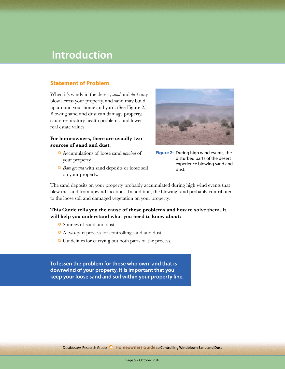# **Introduction**

### **Statement of Problem**

When it's windy in the desert, *sand* and *dust* may blow across your property, and sand may build up around your home and yard. (See Figure 2.) Blowing sand and dust can damage property, cause respiratory health problems, and lower real estate values.

### **For homeowners, there are usually two sources of sand and dust:**

- ❂ Accumulations of loose sand *upwind* of your property
- ❂ *Bare ground* with sand deposits or loose soil on your property.



**Figure 2:** During high wind events, the disturbed parts of the desert experience blowing sand and dust.

The sand deposits on your property probably accumulated during high wind events that blew the sand from upwind locations. In addition, the blowing sand probably contributed to the loose soil and damaged vegetation on your property.

## **This Guide tells you the cause of these problems and how to solve them. It will help you understand what you need to know about:**

- ❂ Sources of sand and dust
- ❂ A two-part process for controlling sand and dust
- ❂ Guidelines for carrying out both parts of the process.

**To lessen the problem for those who own land that is downwind of your property, it is important that you keep your loose sand and soil within your property line.**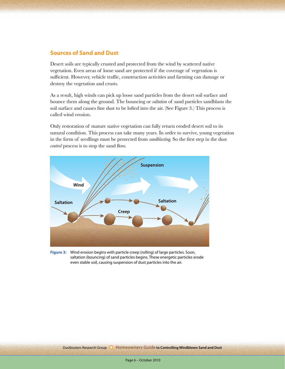## **Sources of Sand and Dust**

Desert soils are typically crusted and protected from the wind by scattered native vegetation. Even areas of loose sand are protected if the coverage of vegetation is sufficient. However, vehicle traffic, construction activities and farming can damage or destroy the vegetation and crusts.

As a result, high winds can pick up loose sand particles from the desert soil surface and bounce them along the ground. The bouncing or *saltation* of sand particles sandblasts the soil surface and causes fine dust to be lofted into the air. (See Figure 3.) This process is called wind erosion.

Only restoration of mature native vegetation can fully return eroded desert soil to its natural condition. This process can take many years. In order to survive, young vegetation in the form of seedlings must be protected from *sandblasting.* So the first step in the dust *control* process is to stop the sand flow.



**Figure 3:** Wind erosion begins with particle creep (rolling) of large particles. Soon, saltation (bouncing) of sand particles begins. These energetic particles erode even stable soil, causing suspension of dust particles into the air.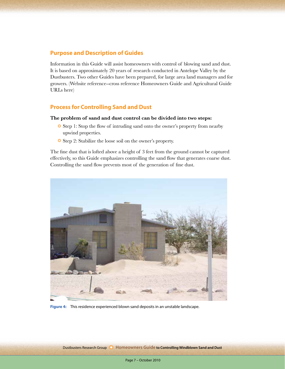## **Purpose and Description of Guides**

Information in this Guide will assist homeowners with control of blowing sand and dust. It is based on approximately 20 years of research conducted in Antelope Valley by the Dustbusters. Two other Guides have been prepared, for large area land managers and for growers. (Website reference--cross reference Homeowners Guide and Agricultural Guide URLs here)

## **Process for Controlling Sand and Dust**

#### **The problem of sand and dust control can be divided into two steps:**

- ❂ Step 1: Stop the flow of intruding sand onto the owner's property from nearby upwind properties.
- ❂ Step 2: Stabilize the loose soil on the owner's property.

The fine dust that is lofted above a height of 3 feet from the ground cannot be captured effectively, so this Guide emphasizes controlling the sand flow that generates coarse dust. Controlling the sand flow prevents most of the generation of fine dust.



**Figure 4:** This residence experienced blown sand deposits in an unstable landscape.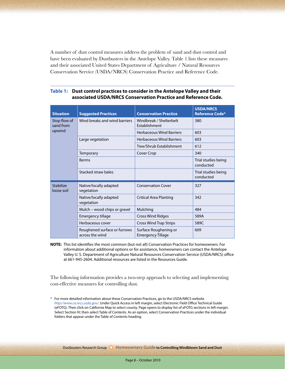A number of dust control measures address the problem of sand and dust control and have been evaluated by Dustbusters in the Antelope Valley. Table 1 lists these measures and their associated United States Department of Agriculture / Natural Resources Conservation Service (USDA/NRCS) Conservation Practice and Reference Code.

| <b>Situation</b>          | <b>Suggested Practices</b>                      | <b>Conservation Practice</b>                      | <b>USDA/NRCS</b><br><b>Reference Code*</b> |
|---------------------------|-------------------------------------------------|---------------------------------------------------|--------------------------------------------|
| Stop flow of<br>sand from | Wind breaks and wind barriers                   | Windbreak / Shelterbelt<br><b>Fstablishment</b>   | 380                                        |
| upwind                    |                                                 | <b>Herbaceous Wind Barriers</b>                   | 603                                        |
|                           | Large vegetation                                | <b>Herbaceous Wind Barriers</b>                   | 603                                        |
|                           |                                                 | Tree/Shrub Establishment                          | 612                                        |
|                           | Temporary                                       | Cover Crop                                        | 340                                        |
|                           | <b>Berms</b>                                    |                                                   | Trial studies being<br>conducted           |
|                           | Stacked straw bales                             |                                                   | Trial studies being<br>conducted           |
| Stabilize<br>loose soil   | Native/locally adapted<br>vegetation            | <b>Conservation Cover</b>                         | 327                                        |
|                           | Native/locally adapted<br>vegetation            | <b>Critical Area Planting</b>                     | 342                                        |
|                           | Mulch - wood chips or gravel                    | Mulching                                          | 484                                        |
|                           | Emergency tillage                               | <b>Cross Wind Ridges</b>                          | 589A                                       |
|                           | Herbaceous cover                                | <b>Cross Wind Trap Strips</b>                     | 589C                                       |
|                           | Roughened surface or furrows<br>across the wind | Surface Roughening or<br><b>Emergency Tillage</b> | 609                                        |

#### **Table 1: Dust control practices to consider in the Antelope Valley and their associated USDA/NRCS Conservation Practice and Reference Code.**

**NOTE:** This list identifies the most common (but not all) Conservation Practices for homeowners. For information about additional options or for assistance, homeowners can contact the Antelope Valley U. S. Department of Agriculture Natural Resources Conservation Service (USDA/NRCS) office at 661-945-2604. Additional resources are listed in the Resources Guide.

The following information provides a two-step approach to selecting and implementing cost-effective measures for controlling dust.

**\*** For more detailed information about these Conservation Practices, go to the USDA/NRCS website *http://www.ca.nrcs.usda.gov/*. Under Quick Access in left margin, select Electronic Field Office Technical Guide (eFOTG). Then click on California Map to select county. Page opens to display list of eFOTG sections in left margin. Select Section IV; then select Table of Contents. As an option, select Conservation Practices under the individual folders that appear under the Table of Contents heading.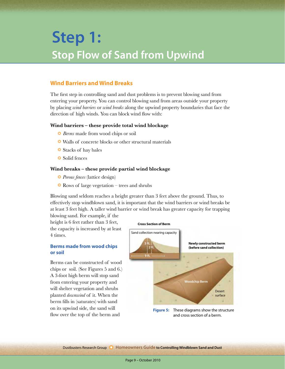# **Stop Flow of Sand from Upwind Step 1:**

## **Wind Barriers and Wind Breaks**

The first step in controlling sand and dust problems is to prevent blowing sand from entering your property. You can control blowing sand from areas outside your property by placing *wind barriers* or *wind breaks* along the upwind property boundaries that face the direction of high winds. You can block wind flow with:

#### **Wind barriers – these provide total wind blockage**

- ❂ *Berms* made from wood chips or soil
- ❂ Walls of concrete blocks or other structural materials
- ❂ Stacks of hay bales
- ❂ Solid fences

### **Wind breaks – these provide partial wind blockage**

- ❂ *Porous fences* (lattice design)
- ❂ Rows of large vegetation trees and shrubs

Blowing sand seldom reaches a height greater than 3 feet above the ground. Thus, to effectively stop windblown sand, it is important that the wind barriers or wind breaks be at least 3 feet high. A taller wind barrier or wind break has greater capacity for trapping

blowing sand. For example, if the height is 6 feet rather than 3 feet, the capacity is increased by at least 4 times.

### **Berms made from wood chips or soil**

Berms can be constructed of wood chips or soil. (See Figures 5 and 6.) A 3-foot high berm will stop sand from entering your property and will shelter vegetation and shrubs planted *downwind* of it. When the berm fills in (saturates) with sand on its upwind side, the sand will flow over the top of the berm and



and cross section of a berm.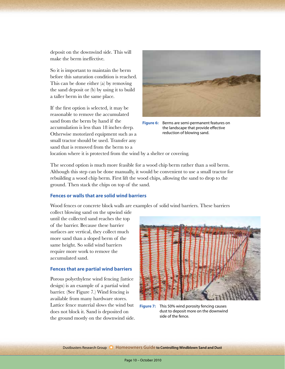deposit on the downwind side. This will make the berm ineffective.

So it is important to maintain the berm before this saturation condition is reached. This can be done either (a) by removing the sand deposit or (b) by using it to build a taller berm in the same place.

If the first option is selected, it may be reasonable to remove the accumulated sand from the berm by hand if the accumulation is less than 18 inches deep. Otherwise motorized equipment such as a small tractor should be used. Transfer any sand that is removed from the berm to a



**Figure 6:** Berms are semi-permanent features on the landscape that provide effective reduction of blowing sand.

location where it is protected from the wind by a shelter or covering.

The second option is much more feasible for a wood chip berm rather than a soil berm. Although this step can be done manually, it would be convenient to use a small tractor for rebuilding a wood chip berm. First lift the wood chips, allowing the sand to drop to the ground. Then stack the chips on top of the sand.

### **Fences or walls that are solid wind barriers**

Wood fences or concrete block walls are examples of solid wind barriers. These barriers

collect blowing sand on the upwind side until the collected sand reaches the top of the barrier. Because these barrier surfaces are vertical, they collect much more sand than a sloped berm of the same height. So solid wind barriers require more work to remove the accumulated sand.

#### **Fences that are partial wind barriers**

Porous polyethylene wind fencing (lattice design) is an example of a partial wind barrier. (See Figure 7.) Wind fencing is available from many hardware stores. Lattice fence material slows the wind but does not block it. Sand is deposited on the ground mostly on the downwind side.

![](_page_9_Picture_12.jpeg)

**Figure 7:** This 50% wind porosity fencing causes dust to deposit more on the downwind side of the fence.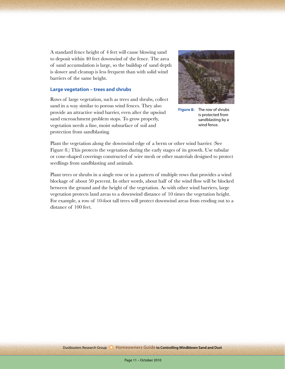A standard fence height of 4 feet will cause blowing sand to deposit within 40 feet downwind of the fence. The area of sand accumulation is large, so the buildup of sand depth is slower and cleanup is less frequent than with solid wind barriers of the same height.

#### **Large vegetation – trees and shrubs**

Rows of large vegetation, such as trees and shrubs, collect sand in a way similar to porous wind fences. They also provide an attractive wind barrier, even after the upwind sand encroachment problem stops. To grow properly, vegetation needs a fine, moist subsurface of soil and protection from sandblasting.

![](_page_10_Picture_3.jpeg)

**Figure 8:** The row of shrubs is protected from sandblasting by a wind fence.

Plant the vegetation along the downwind edge of a berm or other wind barrier. (See Figure 8.) This protects the vegetation during the early stages of its growth. Use tubular or cone-shaped coverings constructed of wire mesh or other materials designed to protect seedlings from sandblasting and animals.

Plant trees or shrubs in a single row or in a pattern of multiple rows that provides a wind blockage of about 50 percent. In other words, about half of the wind flow will be blocked between the ground and the height of the vegetation. As with other wind barriers, large vegetation protects land areas to a downwind distance of 10 times the vegetation height. For example, a row of 10-foot tall trees will protect downwind areas from eroding out to a distance of 100 feet.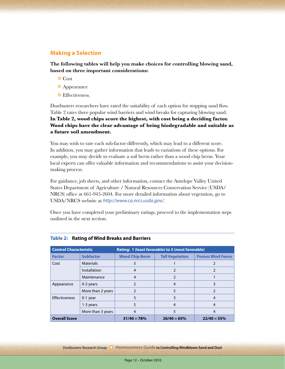## **Making a Selection**

**The following tables will help you make choices for controlling blowing sand, based on three important considerations:** 

- ❂ Cost
- ❂ Appearance
- ❂ Effectiveness.

Dustbusters researchers have rated the suitability of each option for stopping sand flow. Table 2 rates three popular wind barriers and wind breaks for capturing blowing sand. **In Table 2, wood chips score the highest, with cost being a deciding factor. Wood chips have the clear advantage of being biodegradable and suitable as a future soil amendment.**

You may wish to rate each sub-factor differently, which may lead to a different score. In addition, you may gather information that leads to variations of these options. For example, you may decide to evaluate a soil berm rather than a wood chip berm. Your local experts can offer valuable information and recommendations to assist your decisionmaking process.

For guidance, job sheets, and other information, contact the Antelope Valley United States Department of Agriculture / Natural Resources Conservation Service (USDA/ NRCS) office at 661-945-2604. For more detailed information about vegetation, go to USDA/NRCS website at *http://www.ca.nrcs.usda.gov/*.

Once you have completed your preliminary ratings, proceed to the implementation steps outlined in the next section.

| <b>Control Characteristic</b> |                   | Rating: 1 (least favorable) to 5 (most favorable) |                        |                          |
|-------------------------------|-------------------|---------------------------------------------------|------------------------|--------------------------|
| <b>Factor</b>                 | <b>Subfactor</b>  | <b>Wood Chip Berm</b>                             | <b>Tall Vegetation</b> | <b>Porous Wind Fence</b> |
| Cost                          | <b>Materials</b>  | 5                                                 |                        |                          |
|                               | Installation      | 4                                                 |                        |                          |
|                               | Maintenance       | 4                                                 | 2                      |                          |
| Appearance                    | 0-2 years         |                                                   | $\overline{4}$         | 3                        |
|                               | More than 2 years | 2                                                 | 5                      |                          |
| <b>Effectiveness</b>          | 0-1 year          | 5                                                 | 3                      | 4                        |
|                               | 1-3 years         |                                                   | $\overline{4}$         | $\overline{4}$           |
|                               | More than 3 years | 4                                                 | 5                      | 4                        |
| <b>Overall Score</b>          |                   | $31/40 = 78%$                                     | $26/40 = 65%$          | $22/40 = 55%$            |

#### **Table 2: Rating of Wind Breaks and Barriers**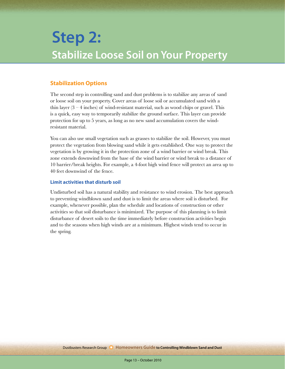# **Stabilize Loose Soil on Your Property Step 2:**

# **Stabilization Options**

The second step in controlling sand and dust problems is to stabilize any areas of sand or loose soil on your property. Cover areas of loose soil or accumulated sand with a thin layer  $(3 - 4$  inches) of wind-resistant material, such as wood chips or gravel. This is a quick, easy way to temporarily stabilize the ground surface. This layer can provide protection for up to 5 years, as long as no new sand accumulation covers the windresistant material.

You can also use small vegetation such as grasses to stabilize the soil. However, you must protect the vegetation from blowing sand while it gets established. One way to protect the vegetation is by growing it in the protection zone of a wind barrier or wind break. This zone extends downwind from the base of the wind barrier or wind break to a distance of 10 barrier/break heights. For example, a 4-foot high wind fence will protect an area up to 40 feet downwind of the fence.

### **Limit activities that disturb soil**

Undisturbed soil has a natural stability and resistance to wind erosion. The best approach to preventing windblown sand and dust is to limit the areas where soil is disturbed. For example, whenever possible, plan the schedule and locations of construction or other activities so that soil disturbance is minimized. The purpose of this planning is to limit disturbance of desert soils to the time immediately before construction activities begin and to the seasons when high winds are at a minimum. Highest winds tend to occur in the spring.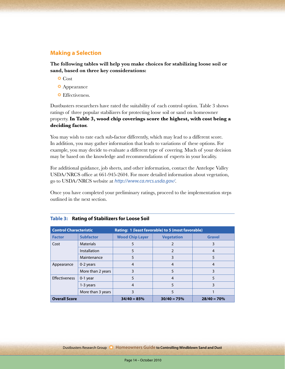## **Making a Selection**

**The following tables will help you make choices for stabilizing loose soil or sand, based on three key considerations:** 

- ❂ Cost
- ❂ Appearance
- ❂ Effectiveness.

Dustbusters researchers have rated the suitability of each control option. Table 3 shows ratings of three popular stabilizers for protecting loose soil or sand on homeowner property. **In Table 3, wood chip coverings score the highest, with cost being a deciding factor.**

You may wish to rate each sub-factor differently, which may lead to a different score. In addition, you may gather information that leads to variations of these options. For example, you may decide to evaluate a different type of covering. Much of your decision may be based on the knowledge and recommendations of experts in your locality.

For additional guidance, job sheets, and other information, contact the Antelope Valley USDA/NRCS office at 661-945-2604. For more detailed information about vegetation, go to USDA/NRCS website at *http://www.ca.nrcs.usda.gov/*.

Once you have completed your preliminary ratings, proceed to the implementation steps outlined in the next section.

| <b>Control Characteristic</b> |                   | Rating: 1 (least favorable) to 5 (most favorable) |                   |               |
|-------------------------------|-------------------|---------------------------------------------------|-------------------|---------------|
| <b>Factor</b>                 | <b>Subfactor</b>  | <b>Wood Chip Layer</b>                            | <b>Vegetation</b> | <b>Gravel</b> |
| Cost                          | <b>Materials</b>  | 5                                                 |                   |               |
|                               | Installation      | 5                                                 |                   |               |
|                               | Maintenance       | 5                                                 |                   |               |
| Appearance                    | 0-2 years         | $\overline{4}$                                    | 4                 | 4             |
|                               | More than 2 years | 3                                                 | 5                 |               |
| <b>Effectiveness</b>          | $0-1$ year        |                                                   | 4                 |               |
|                               | 1-3 years         | $\overline{4}$                                    | 5                 |               |
|                               | More than 3 years | 3                                                 | 5                 |               |
| <b>Overall Score</b>          |                   | $34/40 = 85%$                                     | $30/40 = 75%$     | $28/40 = 70%$ |

#### **Table 3: Rating of Stabilizers for Loose Soil**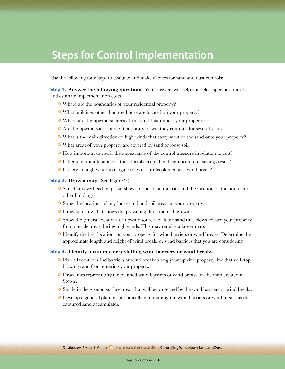# **Steps for Control Implementation**

Use the following four steps to evaluate and make choices for sand and dust controls:

**Step 1:** Answer the following questions. Your answers will help you select specific controls and estimate implementation costs.

- ❂ Where are the boundaries of your residential property?
- ❂ What buildings other than the house are located on your property?
- ❂ Where are the upwind sources of the sand that impact your property?
- ❂ Are the upwind sand sources temporary or will they continue for several years?
- ❂ What is the main direction of high winds that carry most of the sand onto your property?
- ❂ What areas of your property are covered by sand or loose soil?
- ❂ How important to you is the appearance of the control measure in relation to cost?
- ❂ Is frequent maintenance of the control acceptable if significant cost savings result?
- ❂ Is there enough water to irrigate trees or shrubs planted as a wind break?

**Step 2: Draw a map.** (See Figure 9.)

- ❂ Sketch an overhead map that shows property boundaries and the location of the house and other buildings.
- ❂ Show the locations of any loose sand and soil areas on your property.
- ❂ Draw an arrow that shows the prevailing direction of high winds.
- ❂ Show the general locations of upwind sources of loose sand that blows toward your property from outside areas during high winds. This may require a larger map.
- ❂ Identify the best locations on your property for wind barriers or wind breaks. Determine the approximate length and height of wind breaks or wind barriers that you are considering.

#### **Step 3: Identify locations for installing wind barriers or wind breaks.**

- ❂ Plan a layout of wind barriers or wind breaks along your upwind property line that will stop blowing sand from entering your property.
- ❂ Draw lines representing the planned wind barriers or wind breaks on the map created in Step 2.
- ❂ Shade in the ground surface areas that will be protected by the wind barriers or wind breaks.
- ❂ Develop a general plan for periodically maintaining the wind barriers or wind breaks as the captured sand accumulates.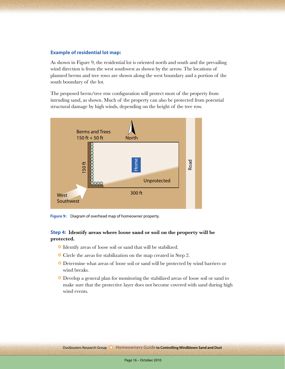#### **Example of residential lot map:**

As shown in Figure 9, the residential lot is oriented north and south and the prevailing wind direction is from the west southwest as shown by the arrow. The locations of planned berms and tree rows are shown along the west boundary and a portion of the south boundary of the lot.

The proposed berm/tree row configuration will protect most of the property from intruding sand, as shown. Much of the property can also be protected from potential structural damage by high winds, depending on the height of the tree row.

![](_page_15_Figure_3.jpeg)

**Figure 9:** Diagram of overhead map of homeowner property.

### **Step 4: Identify areas where loose sand or soil on the property will be protected.**

- ❂ Identify areas of loose soil or sand that will be stabilized.
- ❂ Circle the areas for stabilization on the map created in Step 2.
- ❂ Determine what areas of loose soil or sand will be protected by wind barriers or wind breaks.
- ❂ Develop a general plan for monitoring the stabilized areas of loose soil or sand to make sure that the protective layer does not become covered with sand during high wind events.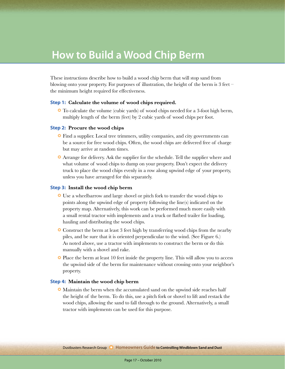# **How to Build a Wood Chip Berm**

These instructions describe how to build a wood chip berm that will stop sand from blowing onto your property. For purposes of illustration, the height of the berm is 3 feet – the minimum height required for effectiveness.

#### **Step 1: Calculate the volume of wood chips required.**

❂ To calculate the volume (cubic yards) of wood chips needed for a 3-foot high berm, multiply length of the berm (feet) by 2 cubic yards of wood chips per foot.

#### **Step 2: Procure the wood chips**

- ❂ Find a supplier. Local tree trimmers, utility companies, and city governments can be a source for free wood chips. Often, the wood chips are delivered free of charge but may arrive at random times.
- ❂ Arrange for delivery. Ask the supplier for the schedule. Tell the supplier where and what volume of wood chips to dump on your property. Don't expect the delivery truck to place the wood chips evenly in a row along upwind edge of your property, unless you have arranged for this separately.

#### **Step 3: Install the wood chip berm**

- ❂ Use a wheelbarrow and large shovel or pitch fork to transfer the wood chips to points along the upwind edge of property following the line(s) indicated on the property map. Alternatively, this work can be performed much more easily with a small rental tractor with implements and a truck or flatbed trailer for loading, hauling and distributing the wood chips.
- ❂ Construct the berm at least 3 feet high by transferring wood chips from the nearby piles, and be sure that it is oriented perpendicular to the wind. (See Figure 6.) As noted above, use a tractor with implements to construct the berm or do this manually with a shovel and rake.
- ❂ Place the berm at least 10 feet inside the property line. This will allow you to access the upwind side of the berm for maintenance without crossing onto your neighbor's property.

#### **Step 4: Maintain the wood chip berm**

❂ Maintain the berm when the accumulated sand on the upwind side reaches half the height of the berm. To do this, use a pitch fork or shovel to lift and restack the wood chips, allowing the sand to fall through to the ground. Alternatively, a small tractor with implements can be used for this purpose.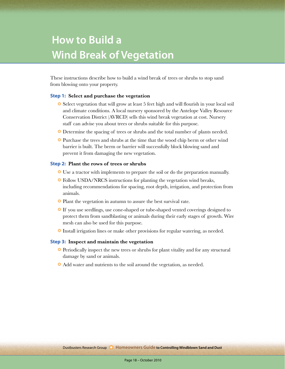# **Wind Break of Vegetation How to Build a**

These instructions describe how to build a wind break of trees or shrubs to stop sand from blowing onto your property.

#### **Step 1: Select and purchase the vegetation**

- ❂ Select vegetation that will grow at least 5 feet high and will flourish in your local soil and climate conditions. A local nursery sponsored by the Antelope Valley Resource Conservation District (AVRCD) sells this wind break vegetation at cost. Nursery staff can advise you about trees or shrubs suitable for this purpose.
- ❂ Determine the spacing of trees or shrubs and the total number of plants needed.
- ❂ Purchase the trees and shrubs at the time that the wood chip berm or other wind barrier is built. The berm or barrier will successfully block blowing sand and prevent it from damaging the new vegetation.

#### **Step 2: Plant the rows of trees or shrubs**

- ❂ Use a tractor with implements to prepare the soil or do the preparation manually.
- ❂ Follow USDA/NRCS instructions for planting the vegetation wind breaks, including recommendations for spacing, root depth, irrigation, and protection from animals.
- ❂ Plant the vegetation in autumn to assure the best survival rate.
- ❂ If you use seedlings, use cone-shaped or tube-shaped vented coverings designed to protect them from sandblasting or animals during their early stages of growth. Wire mesh can also be used for this purpose.
- ❂ Install irrigation lines or make other provisions for regular watering, as needed.

#### **Step 3: Inspect and maintain the vegetation**

- ❂ Periodically inspect the new trees or shrubs for plant vitality and for any structural damage by sand or animals.
- ❂ Add water and nutrients to the soil around the vegetation, as needed.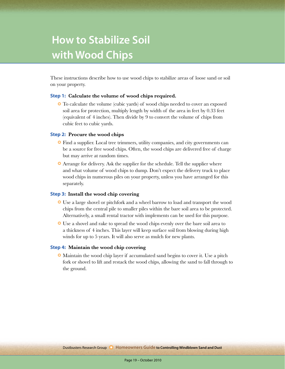# **with Wood Chips How to Stabilize Soil**

These instructions describe how to use wood chips to stabilize areas of loose sand or soil on your property.

#### **Step 1: Calculate the volume of wood chips required.**

❂ To calculate the volume (cubic yards) of wood chips needed to cover an exposed soil area for protection, multiply length by width of the area in feet by 0.33 feet (equivalent of 4 inches). Then divide by 9 to convert the volume of chips from cubic feet to cubic yards.

### **Step 2: Procure the wood chips**

- ❂ Find a supplier. Local tree trimmers, utility companies, and city governments can be a source for free wood chips. Often, the wood chips are delivered free of charge but may arrive at random times.
- ❂ Arrange for delivery. Ask the supplier for the schedule. Tell the supplier where and what volume of wood chips to dump. Don't expect the delivery truck to place wood chips in numerous piles on your property, unless you have arranged for this separately.

#### **Step 3: Install the wood chip covering**

- ❂ Use a large shovel or pitchfork and a wheel barrow to load and transport the wood chips from the central pile to smaller piles within the bare soil area to be protected. Alternatively, a small rental tractor with implements can be used for this purpose.
- ❂ Use a shovel and rake to spread the wood chips evenly over the bare soil area to a thickness of 4 inches. This layer will keep surface soil from blowing during high winds for up to 5 years. It will also serve as mulch for new plants.

#### **Step 4: Maintain the wood chip covering**

❂ Maintain the wood chip layer if accumulated sand begins to cover it. Use a pitch fork or shovel to lift and restack the wood chips, allowing the sand to fall through to the ground.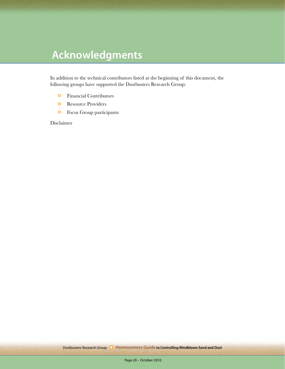# **Acknowledgments**

In addition to the technical contributors listed at the beginning of this document, the following groups have supported the Dustbusters Research Group:

- ❂ Financial Contributors
- ❂ Resource Providers
- ❂ Focus Group participants

Disclaimer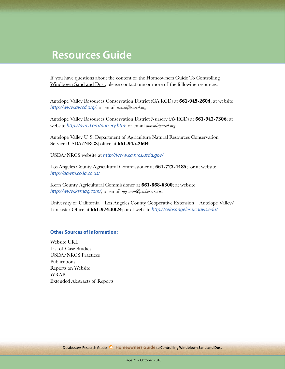# **Resources Guide**

If you have questions about the content of the Homeowners Guide To Controlling Windbown Sand and Dust, please contact one or more of the following resources:

Antelope Valley Resources Conservation District (CA RCD) at **661-945-2604**; at website *http://www.avrcd.org/*; or email *avrcd@carcd.org*

Antelope Valley Resources Conservation District Nursery (AVRCD) at **661-942-7306**; at website *http://avrcd.org/nursery.htm*; or email *avrcd@carcd.org*

Antelope Valley U. S. Department of Agriculture Natural Resources Conservation Service (USDA/NRCS) office at **661-945-2604**

USDA/NRCS website at *http://www.ca.nrcs.usda.gov/*

Los Angeles County Agricultural Commissioner at **661-723-4485**; or at website *http://acwm.co.la.ca.us/*

Kern County Agricultural Commissioner at **661-868-6300**; at website *http://www.kernag.com/*; or email *agcomm@co.kern.ca.us.*

University of California – Los Angeles County Cooperative Extension – Antelope Valley/ Lancaster Office at **661-974-8824**; or at website *http://celosangeles.ucdavis.edu/*

#### **Other Sources of Information:**

Website URL List of Case Studies USDA/NRCS Practices Publications Reports on Website WRAP Extended Abstracts of Reports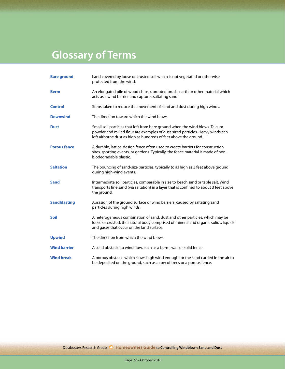# **Glossary of Terms**

| <b>Bare ground</b>  | Land covered by loose or crusted soil which is not vegetated or otherwise<br>protected from the wind.                                                                                                                            |
|---------------------|----------------------------------------------------------------------------------------------------------------------------------------------------------------------------------------------------------------------------------|
| <b>Berm</b>         | An elongated pile of wood chips, uprooted brush, earth or other material which<br>acts as a wind barrier and captures saltating sand.                                                                                            |
| <b>Control</b>      | Steps taken to reduce the movement of sand and dust during high winds.                                                                                                                                                           |
| <b>Downwind</b>     | The direction toward which the wind blows.                                                                                                                                                                                       |
| <b>Dust</b>         | Small soil particles that loft from bare ground when the wind blows. Talcum<br>powder and milled flour are examples of dust-sized particles. Heavy winds can<br>loft airborne dust as high as hundreds of feet above the ground. |
| <b>Porous fence</b> | A durable, lattice-design fence often used to create barriers for construction<br>sites, sporting events, or gardens. Typically, the fence material is made of non-<br>biodegradable plastic.                                    |
| <b>Saltation</b>    | The bouncing of sand-size particles, typically to as high as 3 feet above ground<br>during high-wind events.                                                                                                                     |
| <b>Sand</b>         | Intermediate soil particles, comparable in size to beach sand or table salt. Wind<br>transports fine sand (via saltation) in a layer that is confined to about 3 feet above<br>the ground.                                       |
| <b>Sandblasting</b> | Abrasion of the ground surface or wind barriers, caused by saltating sand<br>particles during high winds.                                                                                                                        |
| <b>Soil</b>         | A heterogeneous combination of sand, dust and other particles, which may be<br>loose or crusted; the natural body comprised of mineral and organic solids, liquids<br>and gases that occur on the land surface.                  |
| <b>Upwind</b>       | The direction from which the wind blows.                                                                                                                                                                                         |
| <b>Wind barrier</b> | A solid obstacle to wind flow, such as a berm, wall or solid fence.                                                                                                                                                              |
| <b>Wind break</b>   | A porous obstacle which slows high wind enough for the sand carried in the air to<br>be deposited on the ground, such as a row of trees or a porous fence.                                                                       |